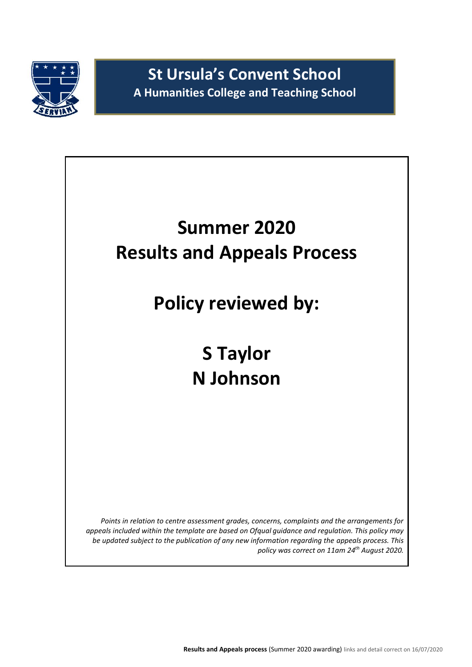

**St Ursula's Convent School A Humanities College and Teaching School**

# **Summer 2020 Results and Appeals Process**

**Policy reviewed by:**

**S Taylor N Johnson**

*Points in relation to centre assessment grades, concerns, complaints and the arrangements for appeals included within the template are based on Ofqual guidance and regulation. This policy may be updated subject to the publication of any new information regarding the appeals process. This policy was correct on 11am 24 th August 2020.*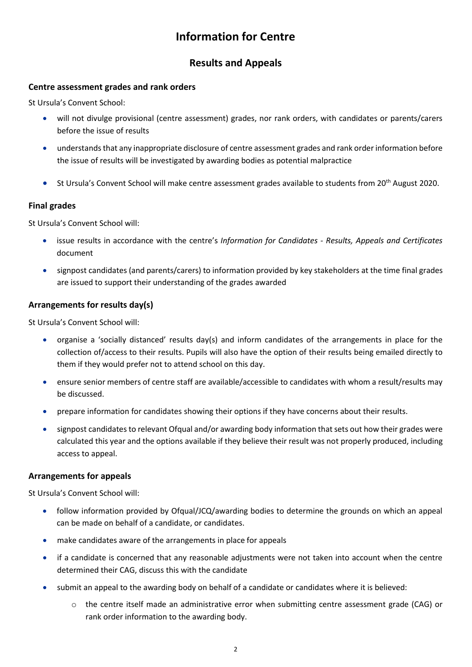# **Information for Centre**

## **Results and Appeals**

#### **Centre assessment grades and rank orders**

St Ursula's Convent School:

- will not divulge provisional (centre assessment) grades, nor rank orders, with candidates or parents/carers before the issue of results
- understands that any inappropriate disclosure of centre assessment grades and rank order information before the issue of results will be investigated by awarding bodies as potential malpractice
- St Ursula's Convent School will make centre assessment grades available to students from 20<sup>th</sup> August 2020.

#### **Final grades**

St Ursula's Convent School will:

- issue results in accordance with the centre's *Information for Candidates - Results, Appeals and Certificates* document
- signpost candidates (and parents/carers) to information provided by key stakeholders at the time final grades are issued to support their understanding of the grades awarded

#### **Arrangements for results day(s)**

St Ursula's Convent School will:

- organise a 'socially distanced' results day(s) and inform candidates of the arrangements in place for the collection of/access to their results. Pupils will also have the option of their results being emailed directly to them if they would prefer not to attend school on this day.
- ensure senior members of centre staff are available/accessible to candidates with whom a result/results may be discussed.
- prepare information for candidates showing their options if they have concerns about their results.
- signpost candidates to relevant Ofqual and/or awarding body information that sets out how their grades were calculated this year and the options available if they believe their result was not properly produced, including access to appeal.

#### **Arrangements for appeals**

St Ursula's Convent School will:

- follow information provided by Ofqual/JCQ/awarding bodies to determine the grounds on which an appeal can be made on behalf of a candidate, or candidates.
- make candidates aware of the arrangements in place for appeals
- if a candidate is concerned that any reasonable adjustments were not taken into account when the centre determined their CAG, discuss this with the candidate
- submit an appeal to the awarding body on behalf of a candidate or candidates where it is believed:
	- o the centre itself made an administrative error when submitting centre assessment grade (CAG) or rank order information to the awarding body.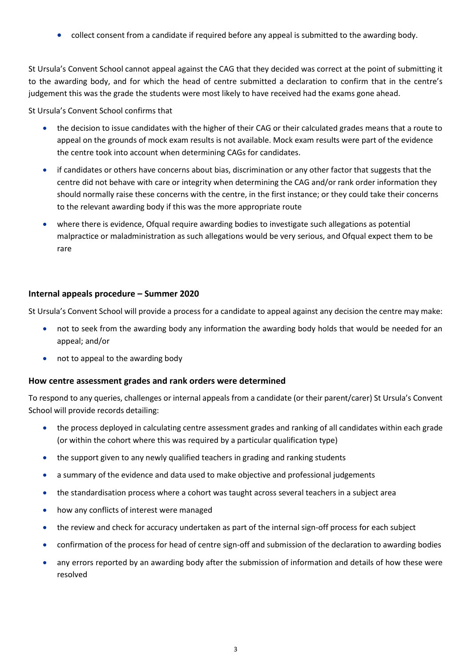collect consent from a candidate if required before any appeal is submitted to the awarding body.

St Ursula's Convent School cannot appeal against the CAG that they decided was correct at the point of submitting it to the awarding body, and for which the head of centre submitted a declaration to confirm that in the centre's judgement this was the grade the students were most likely to have received had the exams gone ahead.

St Ursula's Convent School confirms that

- the decision to issue candidates with the higher of their CAG or their calculated grades means that a route to appeal on the grounds of mock exam results is not available. Mock exam results were part of the evidence the centre took into account when determining CAGs for candidates.
- if candidates or others have concerns about bias, discrimination or any other factor that suggests that the centre did not behave with care or integrity when determining the CAG and/or rank order information they should normally raise these concerns with the centre, in the first instance; or they could take their concerns to the relevant awarding body if this was the more appropriate route
- where there is evidence, Ofqual require awarding bodies to investigate such allegations as potential malpractice or maladministration as such allegations would be very serious, and Ofqual expect them to be rare

#### **Internal appeals procedure – Summer 2020**

St Ursula's Convent School will provide a process for a candidate to appeal against any decision the centre may make:

- not to seek from the awarding body any information the awarding body holds that would be needed for an appeal; and/or
- not to appeal to the awarding body

#### **How centre assessment grades and rank orders were determined**

To respond to any queries, challenges or internal appeals from a candidate (or their parent/carer) St Ursula's Convent School will provide records detailing:

- the process deployed in calculating centre assessment grades and ranking of all candidates within each grade (or within the cohort where this was required by a particular qualification type)
- the support given to any newly qualified teachers in grading and ranking students
- a summary of the evidence and data used to make objective and professional judgements
- the standardisation process where a cohort was taught across several teachers in a subject area
- how any conflicts of interest were managed
- the review and check for accuracy undertaken as part of the internal sign-off process for each subject
- confirmation of the process for head of centre sign-off and submission of the declaration to awarding bodies
- any errors reported by an awarding body after the submission of information and details of how these were resolved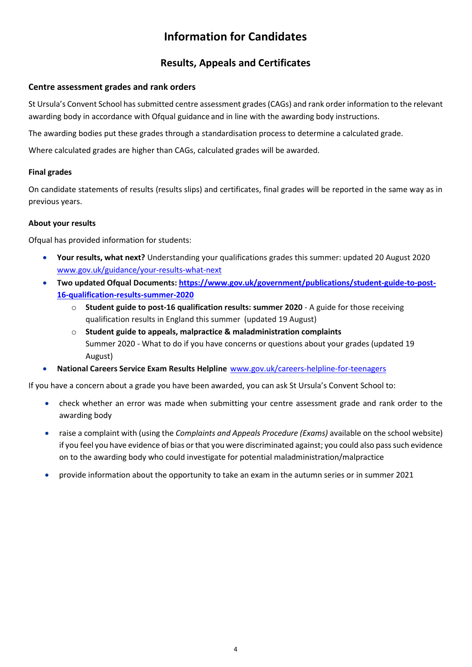# **Information for Candidates**

## **Results, Appeals and Certificates**

#### **Centre assessment grades and rank orders**

St Ursula's Convent School has submitted centre assessment grades (CAGs) and rank order information to the relevant awarding body in accordance with Ofqual guidance and in line with the awarding body instructions.

The awarding bodies put these grades through a standardisation process to determine a calculated grade.

Where calculated grades are higher than CAGs, calculated grades will be awarded.

#### **Final grades**

On candidate statements of results (results slips) and certificates, final grades will be reported in the same way as in previous years.

#### **About your results**

Ofqual has provided information for students:

- **Your results, what next?** Understanding your qualifications grades this summer: updated 20 August 2020 [www.gov.uk/guidance/your-results-what-next](http://www.gov.uk/guidance/your-results-what-next)
- **Two updated Ofqual Documents[: https://www.gov.uk/government/publications/student-guide-to-post-](https://www.gov.uk/government/publications/student-guide-to-post-16-qualification-results-summer-2020)[16-qualification-results-summer-2020](https://www.gov.uk/government/publications/student-guide-to-post-16-qualification-results-summer-2020)**
	- o **Student guide to post-16 qualification results: summer 2020** A guide for those receiving qualification results in England this summer (updated 19 August)
	- o **Student guide to appeals, malpractice & maladministration complaints** Summer 2020 - What to do if you have concerns or questions about your grades (updated 19 August)
- **National Careers Service Exam Results Helpline** [www.gov.uk/careers-helpline-for-teenagers](http://www.gov.uk/careers-helpline-for-teenagers)

If you have a concern about a grade you have been awarded, you can ask St Ursula's Convent School to:

- check whether an error was made when submitting your centre assessment grade and rank order to the awarding body
- raise a complaint with (using the *Complaints and Appeals Procedure (Exams)* available on the school website) if you feel you have evidence of bias or that you were discriminated against; you could also pass such evidence on to the awarding body who could investigate for potential maladministration/malpractice
- provide information about the opportunity to take an exam in the autumn series or in summer 2021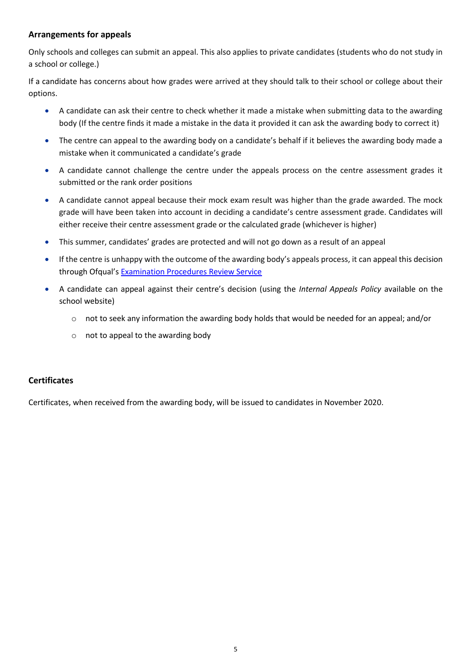#### **Arrangements for appeals**

Only schools and colleges can submit an appeal. This also applies to private candidates (students who do not study in a school or college.)

If a candidate has concerns about how grades were arrived at they should talk to their school or college about their options.

- A candidate can ask their centre to check whether it made a mistake when submitting data to the awarding body (If the centre finds it made a mistake in the data it provided it can ask the awarding body to correct it)
- The centre can appeal to the awarding body on a candidate's behalf if it believes the awarding body made a mistake when it communicated a candidate's grade
- A candidate cannot challenge the centre under the appeals process on the centre assessment grades it submitted or the rank order positions
- A candidate cannot appeal because their mock exam result was higher than the grade awarded. The mock grade will have been taken into account in deciding a candidate's centre assessment grade. Candidates will either receive their centre assessment grade or the calculated grade (whichever is higher)
- This summer, candidates' grades are protected and will not go down as a result of an appeal
- If the centre is unhappy with the outcome of the awarding body's appeals process, it can appeal this decision through Ofqual's [Examination Procedures Review Service](https://www.gov.uk/appeal-qualification-result/appeal-a-review)
- A candidate can appeal against their centre's decision (using the *Internal Appeals Policy* available on the school website)
	- o not to seek any information the awarding body holds that would be needed for an appeal; and/or
	- o not to appeal to the awarding body

#### **Certificates**

Certificates, when received from the awarding body, will be issued to candidates in November 2020.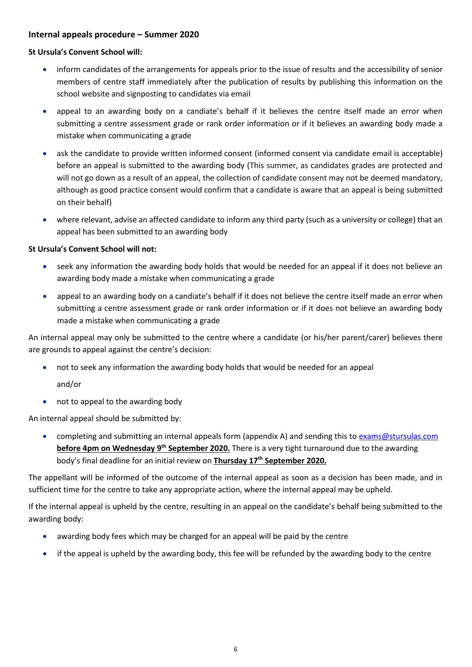#### **Internal appeals procedure – Summer 2020**

#### **St Ursula's Convent School will:**

- inform candidates of the arrangements for appeals prior to the issue of results and the accessibility of senior members of centre staff immediately after the publication of results by publishing this information on the school website and signposting to candidates via email
- appeal to an awarding body on a candiate's behalf if it believes the centre itself made an error when submitting a centre assessment grade or rank order information or if it believes an awarding body made a mistake when communicating a grade
- ask the candidate to provide written informed consent (informed consent via candidate email is acceptable) before an appeal is submitted to the awarding body (This summer, as candidates grades are protected and will not go down as a result of an appeal, the collection of candidate consent may not be deemed mandatory, although as good practice consent would confirm that a candidate is aware that an appeal is being submitted on their behalf)
- where relevant, advise an affected candidate to inform any third party (such as a university or college) that an appeal has been submitted to an awarding body

#### **St Ursula's Convent School will not:**

- seek any information the awarding body holds that would be needed for an appeal if it does not believe an awarding body made a mistake when communicating a grade
- appeal to an awarding body on a candiate's behalf if it does not believe the centre itself made an error when submitting a centre assessment grade or rank order information or if it does not believe an awarding body made a mistake when communicating a grade

An internal appeal may only be submitted to the centre where a candidate (or his/her parent/carer) believes there are grounds to appeal against the centre's decision:

not to seek any information the awarding body holds that would be needed for an appeal

and/or

• not to appeal to the awarding body

An internal appeal should be submitted by:

• completing and submitting an internal appeals form (appendix A) and sending this to exams@stursulas.com **before 4pm on Wednesday 9<sup>th</sup> September 2020.** There is a very tight turnaround due to the awarding body's final deadline for an initial review on **Thursday 17th September 2020.**

The appellant will be informed of the outcome of the internal appeal as soon as a decision has been made, and in sufficient time for the centre to take any appropriate action, where the internal appeal may be upheld.

If the internal appeal is upheld by the centre, resulting in an appeal on the candidate's behalf being submitted to the awarding body:

- awarding body fees which may be charged for an appeal will be paid by the centre
- if the appeal is upheld by the awarding body, this fee will be refunded by the awarding body to the centre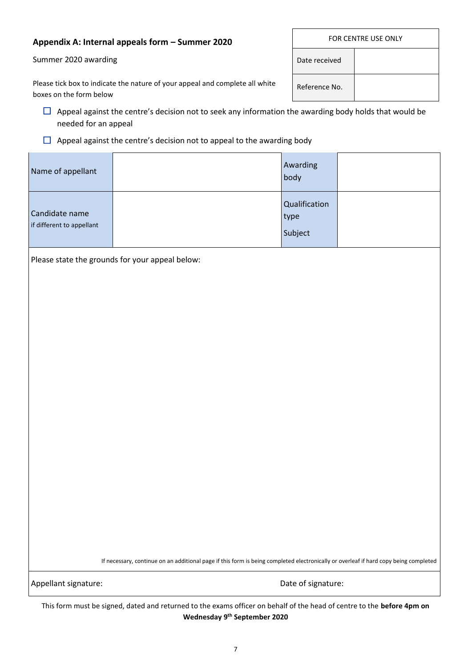#### **Appendix A: Internal appeals form – Summer 2020**

Summer 2020 awarding

|     | FOR CENTRE USE ONLY |  |  |  |
|-----|---------------------|--|--|--|
|     | Date received       |  |  |  |
| ite | Reference No.       |  |  |  |

Please tick box to indicate the nature of your appeal and complete all wh boxes on the form below

 $\Box$  Appeal against the centre's decision not to seek any information the awarding body holds that would be needed for an appeal

#### $\Box$  Appeal against the centre's decision not to appeal to the awarding body

| Name of appellant                           | Awarding<br>body                 |  |
|---------------------------------------------|----------------------------------|--|
| Candidate name<br>if different to appellant | Qualification<br>type<br>Subject |  |

Please state the grounds for your appeal below:

If necessary, continue on an additional page if this form is being completed electronically or overleaf if hard copy being completed

Appellant signature:  $\Box$  Date of signature:

This form must be signed, dated and returned to the exams officer on behalf of the head of centre to the **before 4pm on Wednesday 9 th September 2020**